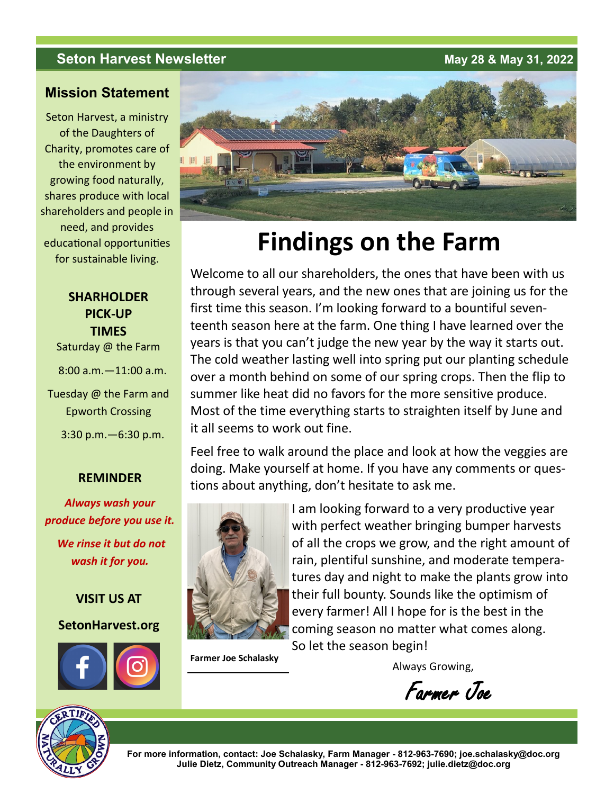# **Seton Harvest Newsletter** <br> **May 28 & May 31, 2022**

### **Mission Statement**

Seton Harvest, a ministry of the Daughters of Charity, promotes care of the environment by growing food naturally, shares produce with local shareholders and people in need, and provides educational opportunities for sustainable living.

# **SHARHOLDER PICK-UP TIMES**

Saturday @ the Farm

8:00 a.m.—11:00 a.m.

Tuesday @ the Farm and Epworth Crossing

3:30 p.m.—6:30 p.m.

### **REMINDER**

*Always wash your produce before you use it. We rinse it but do not wash it for you.*

**VISIT US AT**

**SetonHarvest.org**





# **Findings on the Farm**

Welcome to all our shareholders, the ones that have been with us through several years, and the new ones that are joining us for the first time this season. I'm looking forward to a bountiful seventeenth season here at the farm. One thing I have learned over the years is that you can't judge the new year by the way it starts out. The cold weather lasting well into spring put our planting schedule over a month behind on some of our spring crops. Then the flip to summer like heat did no favors for the more sensitive produce. Most of the time everything starts to straighten itself by June and it all seems to work out fine.

Feel free to walk around the place and look at how the veggies are doing. Make yourself at home. If you have any comments or questions about anything, don't hesitate to ask me.



I am looking forward to a very productive year with perfect weather bringing bumper harvests of all the crops we grow, and the right amount of rain, plentiful sunshine, and moderate temperatures day and night to make the plants grow into their full bounty. Sounds like the optimism of every farmer! All I hope for is the best in the coming season no matter what comes along. So let the season begin!

**Farmer Joe Schalasky** 

Always Growing,

Farmer Joe



**For more information, contact: Joe Schalasky, Farm Manager - 812-963-7690; joe.schalasky@doc.org Julie Dietz, Community Outreach Manager - 812-963-7692; julie.dietz@doc.org**